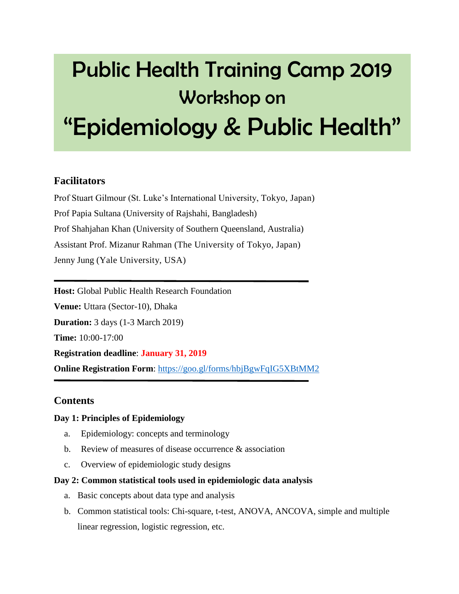# Public Health Training Camp 2019 Workshop on "Epidemiology & Public Health"

## **Facilitators**

Prof Stuart Gilmour (St. Luke's International University, Tokyo, Japan) Prof Papia Sultana (University of Rajshahi, Bangladesh) Prof Shahjahan Khan (University of Southern Queensland, Australia) Assistant Prof. Mizanur Rahman (The University of Tokyo, Japan) Jenny Jung (Yale University, USA)

**Host:** Global Public Health Research Foundation **Venue:** Uttara (Sector-10), Dhaka **Duration:** 3 days (1-3 March 2019) **Time:** 10:00-17:00 **Registration deadline**: **January 31, 2019 Online Registration Form:** <https://goo.gl/forms/hbjBgwFqIG5XBtMM2>

## **Contents**

#### **Day 1: Principles of Epidemiology**

- a. Epidemiology: concepts and terminology
- b. Review of measures of disease occurrence & association
- c. Overview of epidemiologic study designs

#### **Day 2: Common statistical tools used in epidemiologic data analysis**

- a. Basic concepts about data type and analysis
- b. Common statistical tools: Chi-square, t-test, ANOVA, ANCOVA, simple and multiple linear regression, logistic regression, etc.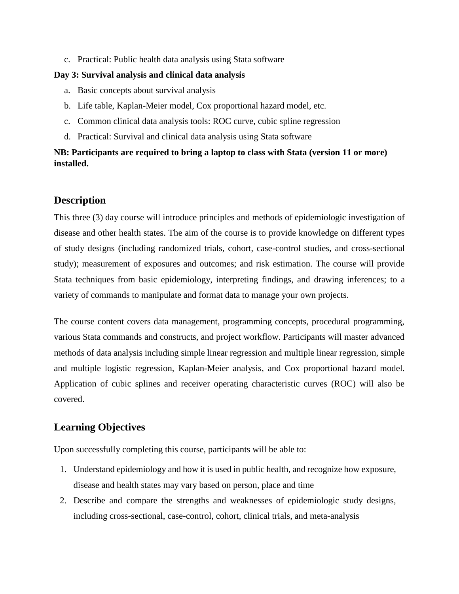c. Practical: Public health data analysis using Stata software

#### **Day 3: Survival analysis and clinical data analysis**

- a. Basic concepts about survival analysis
- b. Life table, Kaplan-Meier model, Cox proportional hazard model, etc.
- c. Common clinical data analysis tools: ROC curve, cubic spline regression
- d. Practical: Survival and clinical data analysis using Stata software

#### **NB: Participants are required to bring a laptop to class with Stata (version 11 or more) installed.**

### **Description**

This three (3) day course will introduce principles and methods of epidemiologic investigation of disease and other health states. The aim of the course is to provide knowledge on different types of study designs (including randomized trials, cohort, case-control studies, and cross-sectional study); measurement of exposures and outcomes; and risk estimation. The course will provide Stata techniques from basic epidemiology, interpreting findings, and drawing inferences; to a variety of commands to manipulate and format data to manage your own projects.

The course content covers data management, programming concepts, procedural programming, various Stata commands and constructs, and project workflow. Participants will master advanced methods of data analysis including simple linear regression and multiple linear regression, simple and multiple logistic regression, Kaplan-Meier analysis, and Cox proportional hazard model. Application of cubic splines and receiver operating characteristic curves (ROC) will also be covered.

## **Learning Objectives**

Upon successfully completing this course, participants will be able to:

- 1. Understand epidemiology and how it is used in public health, and recognize how exposure, disease and health states may vary based on person, place and time
- 2. Describe and compare the strengths and weaknesses of epidemiologic study designs, including cross-sectional, case-control, cohort, clinical trials, and meta-analysis